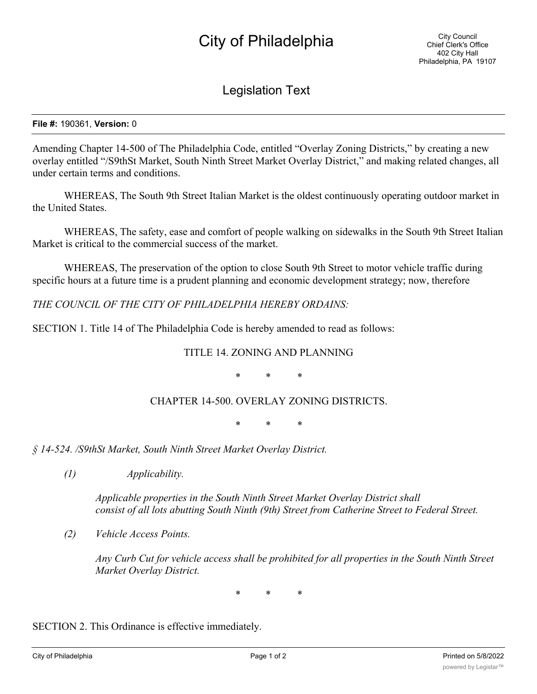## City of Philadelphia

Legislation Text

**File #:** 190361, **Version:** 0

Amending Chapter 14-500 of The Philadelphia Code, entitled "Overlay Zoning Districts," by creating a new overlay entitled "/S9thSt Market, South Ninth Street Market Overlay District," and making related changes, all under certain terms and conditions.

WHEREAS, The South 9th Street Italian Market is the oldest continuously operating outdoor market in the United States.

WHEREAS, The safety, ease and comfort of people walking on sidewalks in the South 9th Street Italian Market is critical to the commercial success of the market.

WHEREAS, The preservation of the option to close South 9th Street to motor vehicle traffic during specific hours at a future time is a prudent planning and economic development strategy; now, therefore

*THE COUNCIL OF THE CITY OF PHILADELPHIA HEREBY ORDAINS:*

SECTION 1. Title 14 of The Philadelphia Code is hereby amended to read as follows:

## TITLE 14. ZONING AND PLANNING

\* \* \*

## CHAPTER 14-500. OVERLAY ZONING DISTRICTS.

\* \* \*

*§ 14-524. /S9thSt Market, South Ninth Street Market Overlay District.*

*(1) Applicability.*

*Applicable properties in the South Ninth Street Market Overlay District shall consist of all lots abutting South Ninth (9th) Street from Catherine Street to Federal Street.*

*(2) Vehicle Access Points.*

*Any Curb Cut for vehicle access shall be prohibited for all properties in the South Ninth Street Market Overlay District.*

\* \* \*

SECTION 2. This Ordinance is effective immediately.